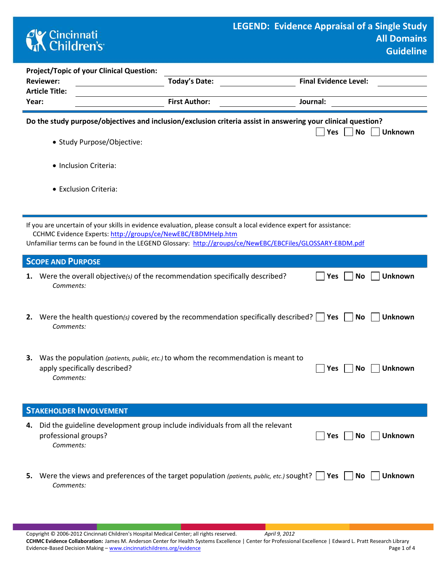## **CK** Cincinnati<br> **Children's**

|       | <b>Reviewer:</b><br><b>Article Title:</b> | <b>Project/Topic of your Clinical Question:</b>                                                                                                                                                                                                                                                | <b>Today's Date:</b><br><b>First Author:</b> |  |     | <b>Final Evidence Level:</b> |                |  |  |
|-------|-------------------------------------------|------------------------------------------------------------------------------------------------------------------------------------------------------------------------------------------------------------------------------------------------------------------------------------------------|----------------------------------------------|--|-----|------------------------------|----------------|--|--|
| Year: |                                           |                                                                                                                                                                                                                                                                                                | Journal:                                     |  |     |                              |                |  |  |
|       |                                           | Do the study purpose/objectives and inclusion/exclusion criteria assist in answering your clinical question?                                                                                                                                                                                   |                                              |  | Yes | No                           | <b>Unknown</b> |  |  |
|       |                                           | • Study Purpose/Objective:                                                                                                                                                                                                                                                                     |                                              |  |     |                              |                |  |  |
|       |                                           | • Inclusion Criteria:                                                                                                                                                                                                                                                                          |                                              |  |     |                              |                |  |  |
|       |                                           | • Exclusion Criteria:                                                                                                                                                                                                                                                                          |                                              |  |     |                              |                |  |  |
|       |                                           | If you are uncertain of your skills in evidence evaluation, please consult a local evidence expert for assistance:<br>CCHMC Evidence Experts: http://groups/ce/NewEBC/EBDMHelp.htm<br>Unfamiliar terms can be found in the LEGEND Glossary: http://groups/ce/NewEBC/EBCFiles/GLOSSARY-EBDM.pdf |                                              |  |     |                              |                |  |  |
|       | <b>SCOPE AND PURPOSE</b>                  |                                                                                                                                                                                                                                                                                                |                                              |  |     |                              |                |  |  |
| 1.    | Comments:                                 | Were the overall objective(s) of the recommendation specifically described?                                                                                                                                                                                                                    |                                              |  | Yes | No                           | <b>Unknown</b> |  |  |
|       | Comments:                                 | 2. Were the health question(s) covered by the recommendation specifically described? $\vert \vert$ Yes                                                                                                                                                                                         |                                              |  |     | No                           | <b>Unknown</b> |  |  |
| 3.    | Comments:                                 | Was the population (patients, public, etc.) to whom the recommendation is meant to<br>apply specifically described?                                                                                                                                                                            |                                              |  | Yes | No                           | <b>Unknown</b> |  |  |
|       |                                           | <b>STAKEHOLDER INVOLVEMENT</b>                                                                                                                                                                                                                                                                 |                                              |  |     |                              |                |  |  |
| 4.    | professional groups?<br>Comments:         | Did the guideline development group include individuals from all the relevant                                                                                                                                                                                                                  |                                              |  | Yes | No.                          | <b>Unknown</b> |  |  |
| 5.    | Comments:                                 | Were the views and preferences of the target population (patients, public, etc.) sought? $\vert$ Yes $\vert$                                                                                                                                                                                   |                                              |  |     | No                           | <b>Unknown</b> |  |  |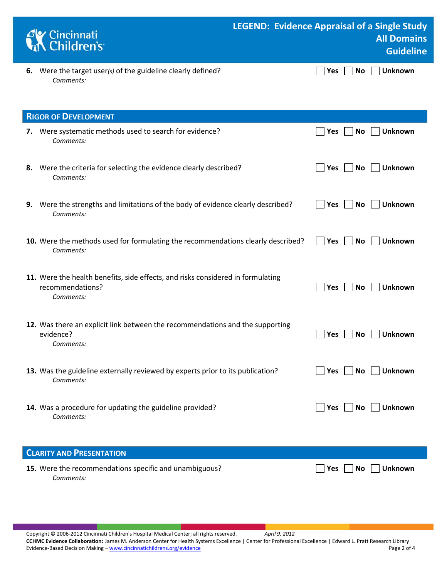| <b>Cy Cincinnati</b><br><b>K</b> Children's                               | <b>LEGEND: Evidence Appraisal of a Single Study</b><br><b>All Domains</b><br>Guideline |
|---------------------------------------------------------------------------|----------------------------------------------------------------------------------------|
| 6. Were the target user(s) of the guideline clearly defined?<br>Comments: | $\Box$ Yes $\Box$ No $\Box$ Unknown                                                    |

| <b>RIGOR OF DEVELOPMENT</b>                                                                                      |                                     |
|------------------------------------------------------------------------------------------------------------------|-------------------------------------|
| 7. Were systematic methods used to search for evidence?<br>Comments:                                             | Unknown<br>Yes<br><b>No</b>         |
| 8. Were the criteria for selecting the evidence clearly described?<br>Comments:                                  | Yes <br><b>No</b><br><b>Unknown</b> |
| 9. Were the strengths and limitations of the body of evidence clearly described?<br>Comments:                    | <b>Unknown</b><br> Yes<br><b>No</b> |
| 10. Were the methods used for formulating the recommendations clearly described?<br>Comments:                    | <b>Unknown</b><br> Yes<br>No        |
| 11. Were the health benefits, side effects, and risks considered in formulating<br>recommendations?<br>Comments: | <b>Unknown</b><br>Yes<br>No         |
| 12. Was there an explicit link between the recommendations and the supporting<br>evidence?<br>Comments:          | <b>Unknown</b><br>Yes<br><b>No</b>  |
| 13. Was the guideline externally reviewed by experts prior to its publication?<br>Comments:                      | No<br><b>Unknown</b><br><b>Yes</b>  |
| 14. Was a procedure for updating the guideline provided?<br>Comments:                                            | <b>Unknown</b><br> Yes<br>No        |
| <b>CLARITY AND PRESENTATION</b>                                                                                  |                                     |
| 15. Were the recommendations specific and unambiguous?                                                           | Yes<br><b>Unknown</b><br>No         |

*Comments:*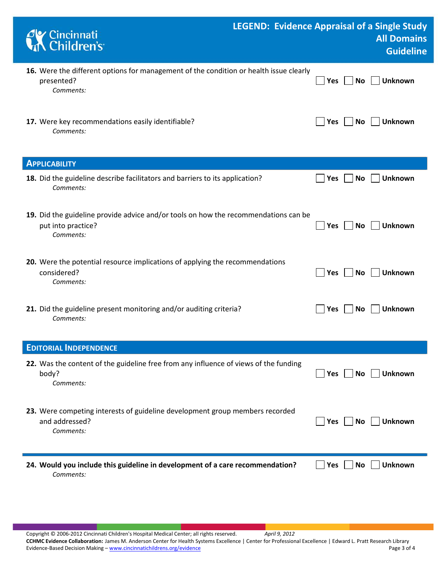| Cincinnati<br>Children's                                                                                               | <b>LEGEND: Evidence Appraisal of a Single Study</b><br><b>All Domains</b><br><b>Guideline</b> |
|------------------------------------------------------------------------------------------------------------------------|-----------------------------------------------------------------------------------------------|
| 16. Were the different options for management of the condition or health issue clearly<br>presented?<br>Comments:      | <b>Unknown</b><br>No<br><b>Yes</b>                                                            |
| 17. Were key recommendations easily identifiable?<br>Comments:                                                         | <b>Unknown</b><br>Yes<br><b>No</b>                                                            |
| <b>APPLICABILITY</b>                                                                                                   |                                                                                               |
| 18. Did the guideline describe facilitators and barriers to its application?<br>Comments:                              | <b>Unknown</b><br>Yes<br>No                                                                   |
| 19. Did the guideline provide advice and/or tools on how the recommendations can be<br>put into practice?<br>Comments: | Unknown<br><b>No</b><br>Yes                                                                   |
| 20. Were the potential resource implications of applying the recommendations<br>considered?<br>Comments:               | <b>Unknown</b><br><b>Yes</b><br>No                                                            |
| 21. Did the guideline present monitoring and/or auditing criteria?<br>Comments:                                        | Unknown<br>No<br><b>Yes</b>                                                                   |
| <b>EDITORIAL INDEPENDENCE</b>                                                                                          |                                                                                               |
| 22. Was the content of the guideline free from any influence of views of the funding<br>body?<br>Comments:             | <b>Unknown</b><br>Yes<br>No                                                                   |
| 23. Were competing interests of guideline development group members recorded<br>and addressed?<br>Comments:            | <b>Unknown</b><br>Yes<br>No                                                                   |
| 24. Would you include this guideline in development of a care recommendation?<br>Comments:                             | <b>Unknown</b><br><b>No</b><br>Yes                                                            |

Copyright © 2006-2012 Cincinnati Children's Hospital Medical Center; all rights reserved. *April 9, 2012* **CCHMC Evidence Collaboration:** James M. Anderson Center for Health Systems Excellence | Center for Professional Excellence | Edward L. Pratt Research Library Evidence-Based Decision Making - [www.cincinnatichildrens.org/evidence](http://www.cincinnatichildrens.org/service/j/anderson-center/evidence-based-care/legend/)